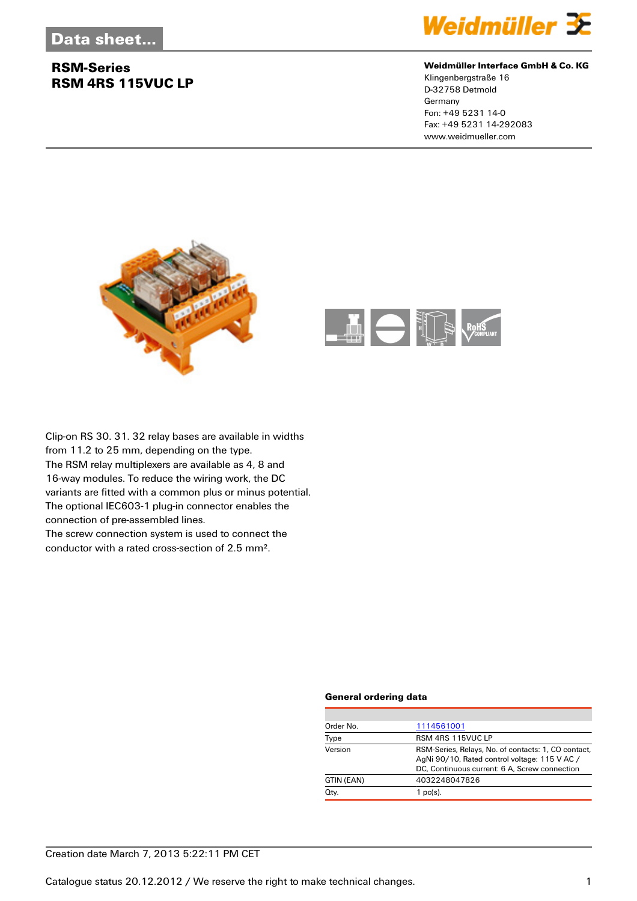## **RSM-Series RSM 4RS 115VUC LP**



#### **Weidmüller Interface GmbH & Co. KG**

Klingenbergstraße 16 D-32758 Detmold Germany Fon: +49 5231 14-0 Fax: +49 5231 14-292083 www.weidmueller.com





Clip-on RS 30. 31. 32 relay bases are available in widths from 11.2 to 25 mm, depending on the type. The RSM relay multiplexers are available as 4, 8 and 16-way modules. To reduce the wiring work, the DC variants are fitted with a common plus or minus potential. The optional IEC603-1 plug-in connector enables the connection of pre-assembled lines. The screw connection system is used to connect the

conductor with a rated cross-section of 2.5 mm².

#### **General ordering data**

| Order No.  | 1114561001                                                                                                                                            |
|------------|-------------------------------------------------------------------------------------------------------------------------------------------------------|
| Type       | RSM 4RS 115VUC LP                                                                                                                                     |
| Version    | RSM-Series, Relays, No. of contacts: 1, CO contact,<br>AgNi 90/10, Rated control voltage: 115 V AC /<br>DC, Continuous current: 6 A, Screw connection |
| GTIN (EAN) | 4032248047826                                                                                                                                         |
| Qty.       | $1$ pc(s).                                                                                                                                            |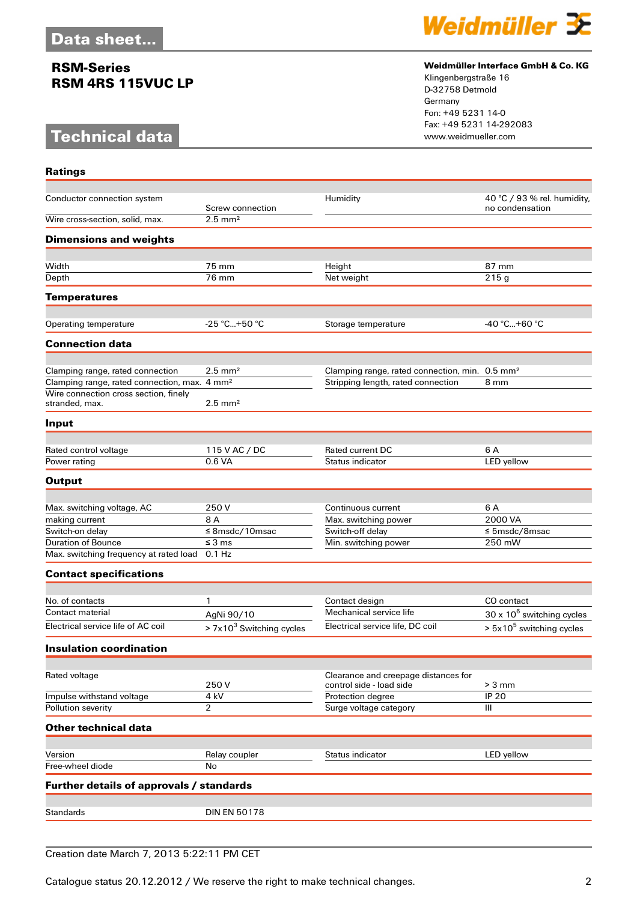## **RSM-Series RSM 4RS 115VUC LP**

# **Technical data**

**Ratings**



#### **Weidmüller Interface GmbH & Co. KG**

Klingenbergstraße 16 D-32758 Detmold Germany Fon: +49 5231 14-0 Fax: +49 5231 14-292083

| Conductor connection system                              | Screw connection                | Humidity                                                   | 40 °C / 93 % rel. humidity,<br>no condensation |
|----------------------------------------------------------|---------------------------------|------------------------------------------------------------|------------------------------------------------|
| Wire cross-section, solid, max.                          | $2.5 \text{ mm}^2$              |                                                            |                                                |
| <b>Dimensions and weights</b>                            |                                 |                                                            |                                                |
| Width                                                    | 75 mm                           | Height                                                     | 87 mm                                          |
| Depth                                                    | 76 mm                           | Net weight                                                 | 215g                                           |
| <b>Temperatures</b>                                      |                                 |                                                            |                                                |
|                                                          |                                 |                                                            |                                                |
| Operating temperature                                    | $-25$ °C+50 °C                  | Storage temperature                                        | $-40 °C+60 °C$                                 |
| <b>Connection data</b>                                   |                                 |                                                            |                                                |
| Clamping range, rated connection                         | $2.5$ mm <sup>2</sup>           | Clamping range, rated connection, min. 0.5 mm <sup>2</sup> |                                                |
| Clamping range, rated connection, max. 4 mm <sup>2</sup> |                                 | Stripping length, rated connection                         | 8 mm                                           |
| Wire connection cross section, finely<br>stranded, max.  | $2.5$ mm <sup>2</sup>           |                                                            |                                                |
| Input                                                    |                                 |                                                            |                                                |
|                                                          |                                 |                                                            |                                                |
| Rated control voltage                                    | 115 V AC / DC                   | Rated current DC                                           | 6 A                                            |
| Power rating                                             | 0.6 VA                          | Status indicator                                           | LED yellow                                     |
| <b>Output</b>                                            |                                 |                                                            |                                                |
|                                                          |                                 |                                                            |                                                |
| Max. switching voltage, AC                               | 250 V                           | Continuous current                                         | 6 A                                            |
| making current                                           | 8 A                             | Max. switching power                                       | 2000 VA                                        |
| Switch-on delay<br><b>Duration of Bounce</b>             | $≤$ 8msdc/10msac<br>$\leq$ 3 ms | Switch-off delay<br>Min. switching power                   | $\leq$ 5msdc/8msac<br>250 mW                   |
| Max. switching frequency at rated load                   | $0.1$ Hz                        |                                                            |                                                |
| <b>Contact specifications</b>                            |                                 |                                                            |                                                |
|                                                          |                                 |                                                            |                                                |
| No. of contacts                                          | 1                               | Contact design                                             | CO contact                                     |
| Contact material                                         | AgNi 90/10                      | Mechanical service life                                    | $30 \times 10^6$ switching cycles              |
| Electrical service life of AC coil                       | $> 7x103$ Switching cycles      | Electrical service life, DC coil                           | $> 5x10^5$ switching cycles                    |
| <b>Insulation coordination</b>                           |                                 |                                                            |                                                |
| Rated voltage                                            |                                 | Clearance and creepage distances for                       |                                                |
|                                                          | 250V                            | control side - load side                                   | $> 3$ mm                                       |
| Impulse withstand voltage                                | 4 kV                            | Protection degree                                          | <b>IP 20</b>                                   |
| Pollution severity                                       | $\overline{2}$                  | Surge voltage category                                     | Ш                                              |
| <b>Other technical data</b>                              |                                 |                                                            |                                                |
|                                                          |                                 |                                                            |                                                |
| Version<br>Free-wheel diode                              | Relay coupler<br>No             | Status indicator                                           | LED yellow                                     |
| Further details of approvals / standards                 |                                 |                                                            |                                                |
|                                                          |                                 |                                                            |                                                |
| <b>Standards</b>                                         | <b>DIN EN 50178</b>             |                                                            |                                                |
|                                                          |                                 |                                                            |                                                |

## Creation date March 7, 2013 5:22:11 PM CET